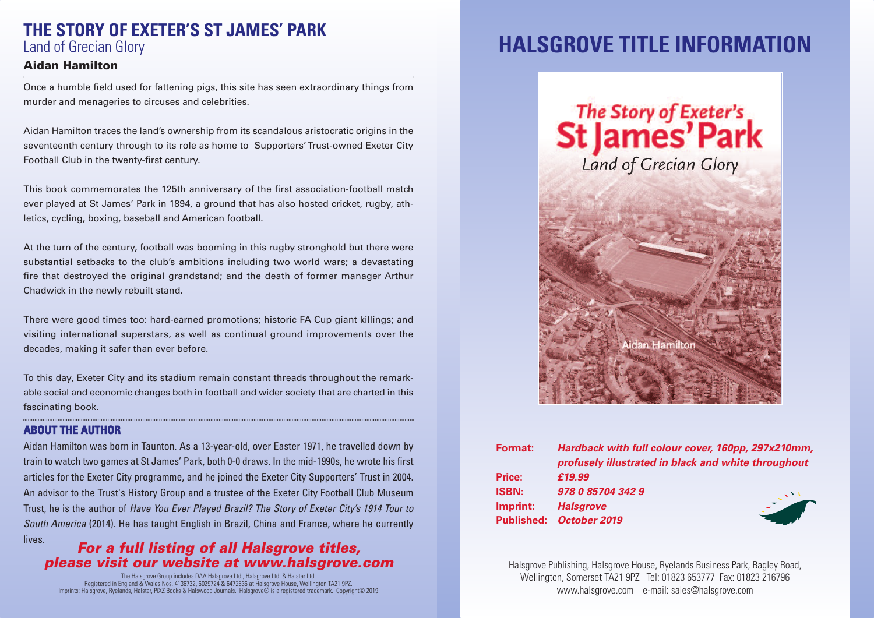## **THE STORY OF EXETER'S ST JAMES' PARK** Land of Grecian Glory

### **Aidan Hamilton**

Once a humble field used for fattening pigs, this site has seen extraordinary things from murder and menageries to circuses and celebrities.

Aidan Hamilton traces the land's ownership from its scandalous aristocratic origins in the seventeenth century through to its role as home to Supporters'Trust-owned Exeter City Football Club in the twenty-first century.

This book commemorates the 125th anniversary of the first association-football match ever played at St James' Park in 1894, a ground that has also hosted cricket, rugby, athletics, cycling, boxing, baseball and American football.

At the turn of the century, football was booming in this rugby stronghold but there were substantial setbacks to the club's ambitions including two world wars; a devastating fire that destroyed the original grandstand; and the death of former manager Arthur Chadwick in the newly rebuilt stand.

There were good times too: hard-earned promotions; historic FA Cup giant killings; and visiting international superstars, as well as continual ground improvements over the decades, making it safer than ever before.

To this day, Exeter City and its stadium remain constant threads throughout the remarkable social and economic changes both in football and wider society that are charted in this fascinating book.

#### **ABOUT THE AUTHOR**

Aidan Hamilton was born in Taunton. As a 13-year-old, over Easter 1971, he travelled down by train to watch two games at St James' Park, both 0-0 draws. In the mid-1990s, he wrote his first articles for the Exeter City programme, and he joined the Exeter City Supporters' Trust in 2004. An advisor to the Trust's History Group and a trustee of the Exeter City Football Club Museum Trust, he is the author of *Have You Ever Played Brazil? The Story of Exeter City's 1914 Tour to South America* (2014). He has taught English in Brazil, China and France, where he currently lives.

### *For a full listing of all Halsgrove titles, please visit our website at www.halsgrove.com*

The Halsgrove Group includes DAA Halsgrove Ltd., Halsgrove Ltd. & Halstar Ltd.<br>Registered in England & Wales Nos. 4 136732, 6029724 & 6472636 at Halsgrove House, Wellington TA21 9PZ.<br>Imprints: Halsgrove, Ryelands, Halstar

# **HALSGROVE TITLE INFORMATION**



| <b>Format:</b> | Hardback with full colour cover, 160pp, 297x210mm,<br>profusely illustrated in black and white throughout |
|----------------|-----------------------------------------------------------------------------------------------------------|
| Price:         | £19.99                                                                                                    |
| <b>ISBN:</b>   | 978 0 85704 342 9                                                                                         |
| Imprint:       | <b>Halsgrove</b>                                                                                          |
|                | Published: October 2019                                                                                   |
|                |                                                                                                           |

Halsgrove Publishing, Halsgrove House, Ryelands Business Park, Bagley Road, Wellington, Somerset TA21 9PZ Tel: 01823 653777 Fax: 01823 216796 www.halsgrove.com e-mail: sales@halsgrove.com